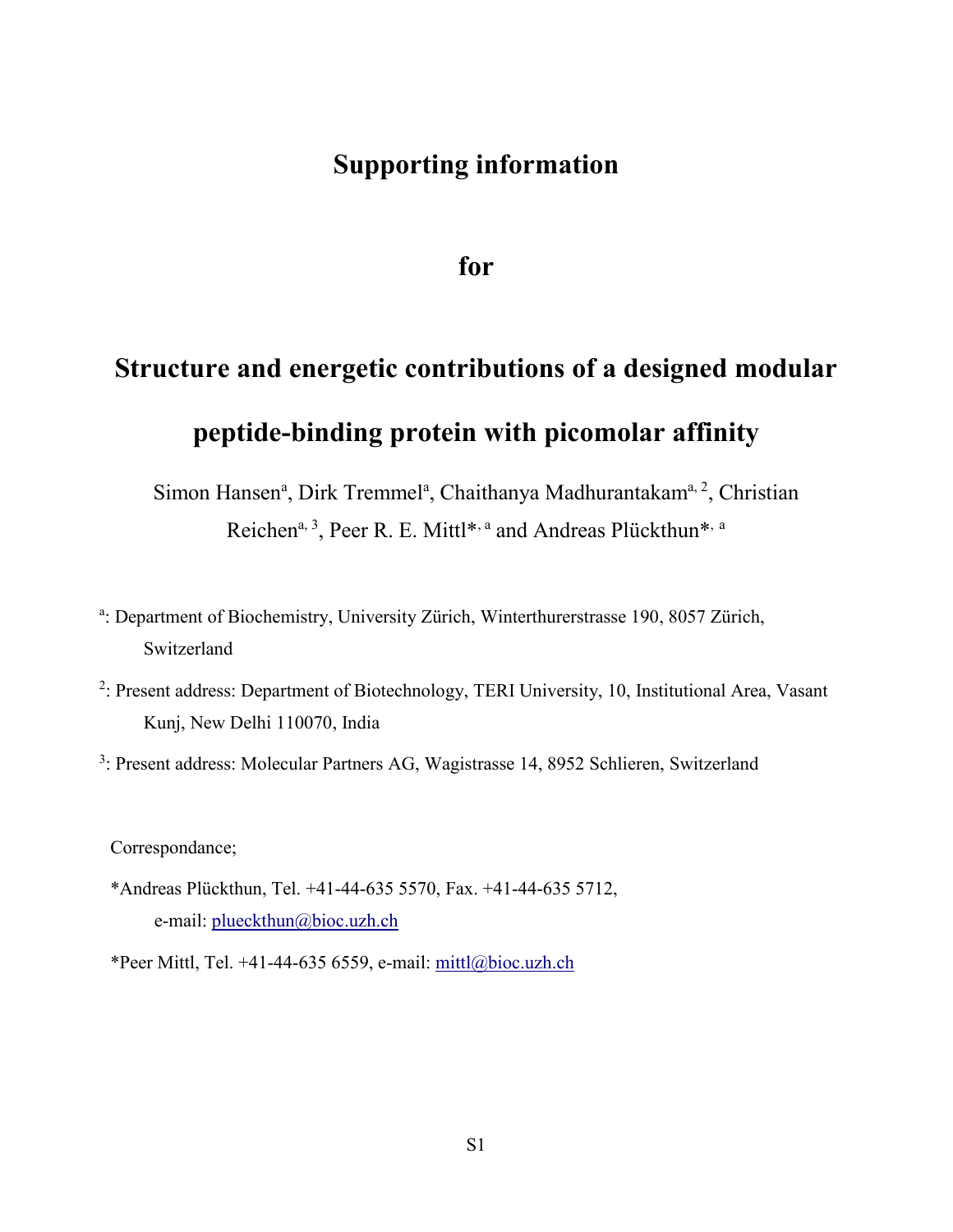# **Supporting information**

**for**

# **Structure and energetic contributions of a designed modular peptide-binding protein with picomolar affinity**

Simon Hansen<sup>a</sup>, Dirk Tremmel<sup>a</sup>, Chaithanya Madhurantakam<sup>a, 2</sup>, Christian Reichen<sup>a, 3</sup>, Peer R. E. Mittl<sup>\*, a</sup> and Andreas Plückthun<sup>\*, a</sup>

- a: Department of Biochemistry, University Zürich, Winterthurerstrasse 190, 8057 Zürich, Switzerland
- <sup>2</sup>: Present address: Department of Biotechnology, TERI University, 10, Institutional Area, Vasant Kunj, New Delhi 110070, India

<sup>3</sup>: Present address: Molecular Partners AG, Wagistrasse 14, 8952 Schlieren, Switzerland

Correspondance;

- \*Andreas Plückthun, Tel. +41-44-635 5570, Fax. +41-44-635 5712, e-mail: [plueckthun@bioc.uzh.ch](mailto:plueckthun@bioc.uzh.ch)
- \*Peer Mittl, Tel. +41-44-635 6559, e-mail: [mittl@bioc.uzh.ch](mailto:mittl@bioc.uzh.ch)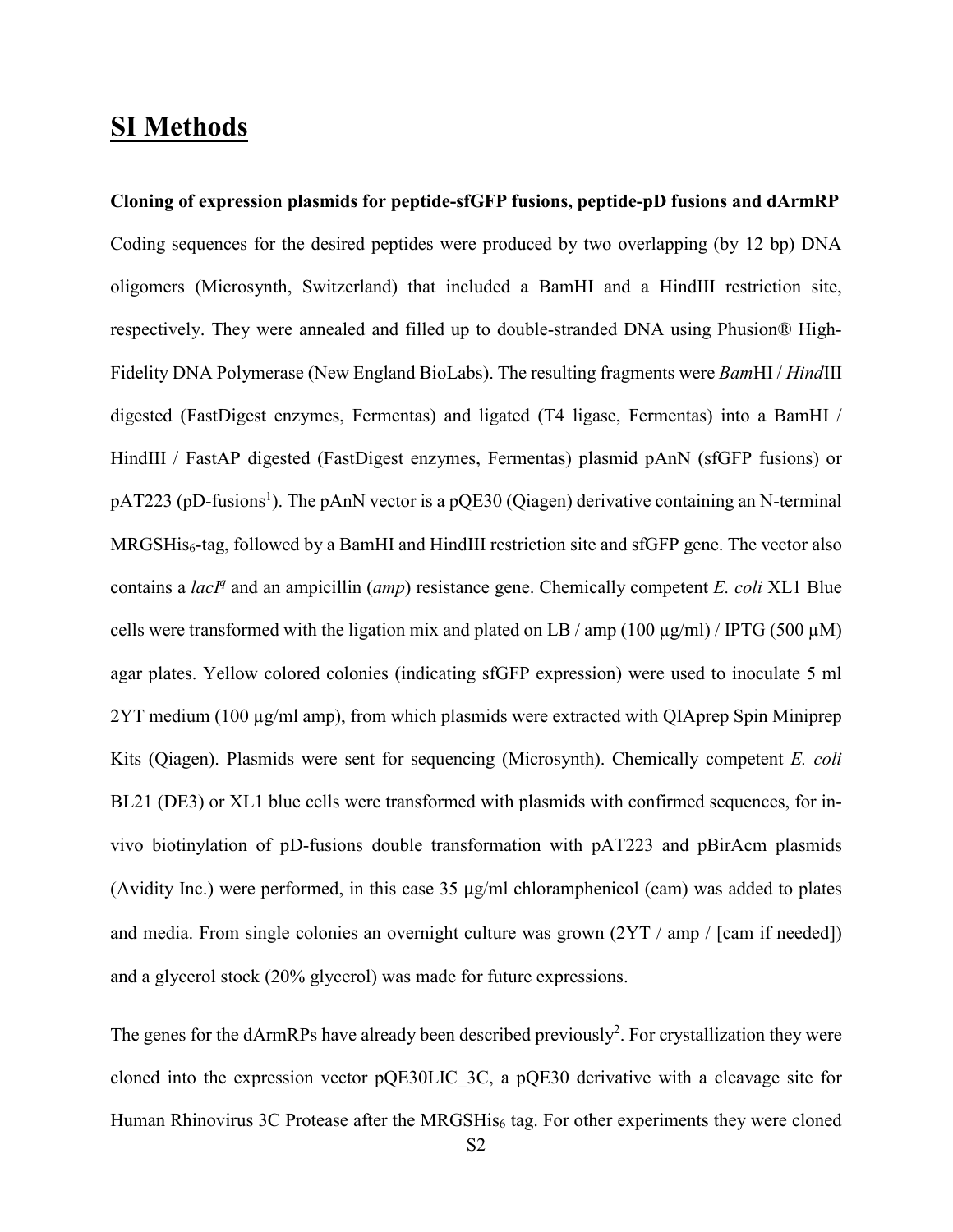# **SI Methods**

**Cloning of expression plasmids for peptide-sfGFP fusions, peptide-pD fusions and dArmRP** Coding sequences for the desired peptides were produced by two overlapping (by 12 bp) DNA oligomers (Microsynth, Switzerland) that included a BamHI and a HindIII restriction site, respectively. They were annealed and filled up to double-stranded DNA using Phusion® High-Fidelity DNA Polymerase (New England BioLabs). The resulting fragments were *Bam*HI / *Hind*III digested (FastDigest enzymes, Fermentas) and ligated (T4 ligase, Fermentas) into a BamHI / HindIII / FastAP digested (FastDigest enzymes, Fermentas) plasmid pAnN (sfGFP fusions) or pAT223 (pD-fusions<sup>[1](#page-13-0)</sup>). The pAnN vector is a pQE30 (Qiagen) derivative containing an N-terminal MRGSHis6-tag, followed by a BamHI and HindIII restriction site and sfGFP gene. The vector also contains a *lacI<sup>q</sup>* and an ampicillin (*amp*) resistance gene. Chemically competent *E. coli* XL1 Blue cells were transformed with the ligation mix and plated on LB / amp (100  $\mu$ g/ml) / IPTG (500  $\mu$ M) agar plates. Yellow colored colonies (indicating sfGFP expression) were used to inoculate 5 ml 2YT medium (100 µg/ml amp), from which plasmids were extracted with QIAprep Spin Miniprep Kits (Qiagen). Plasmids were sent for sequencing (Microsynth). Chemically competent *E. coli* BL21 (DE3) or XL1 blue cells were transformed with plasmids with confirmed sequences, for invivo biotinylation of pD-fusions double transformation with pAT223 and pBirAcm plasmids (Avidity Inc.) were performed, in this case 35 µg/ml chloramphenicol (cam) was added to plates and media. From single colonies an overnight culture was grown (2YT / amp / [cam if needed]) and a glycerol stock (20% glycerol) was made for future expressions.

The genes for the dArmRPs have already been described previously<sup>2</sup>. For crystallization they were cloned into the expression vector pQE30LIC\_3C, a pQE30 derivative with a cleavage site for Human Rhinovirus 3C Protease after the MRGSHis<sub>6</sub> tag. For other experiments they were cloned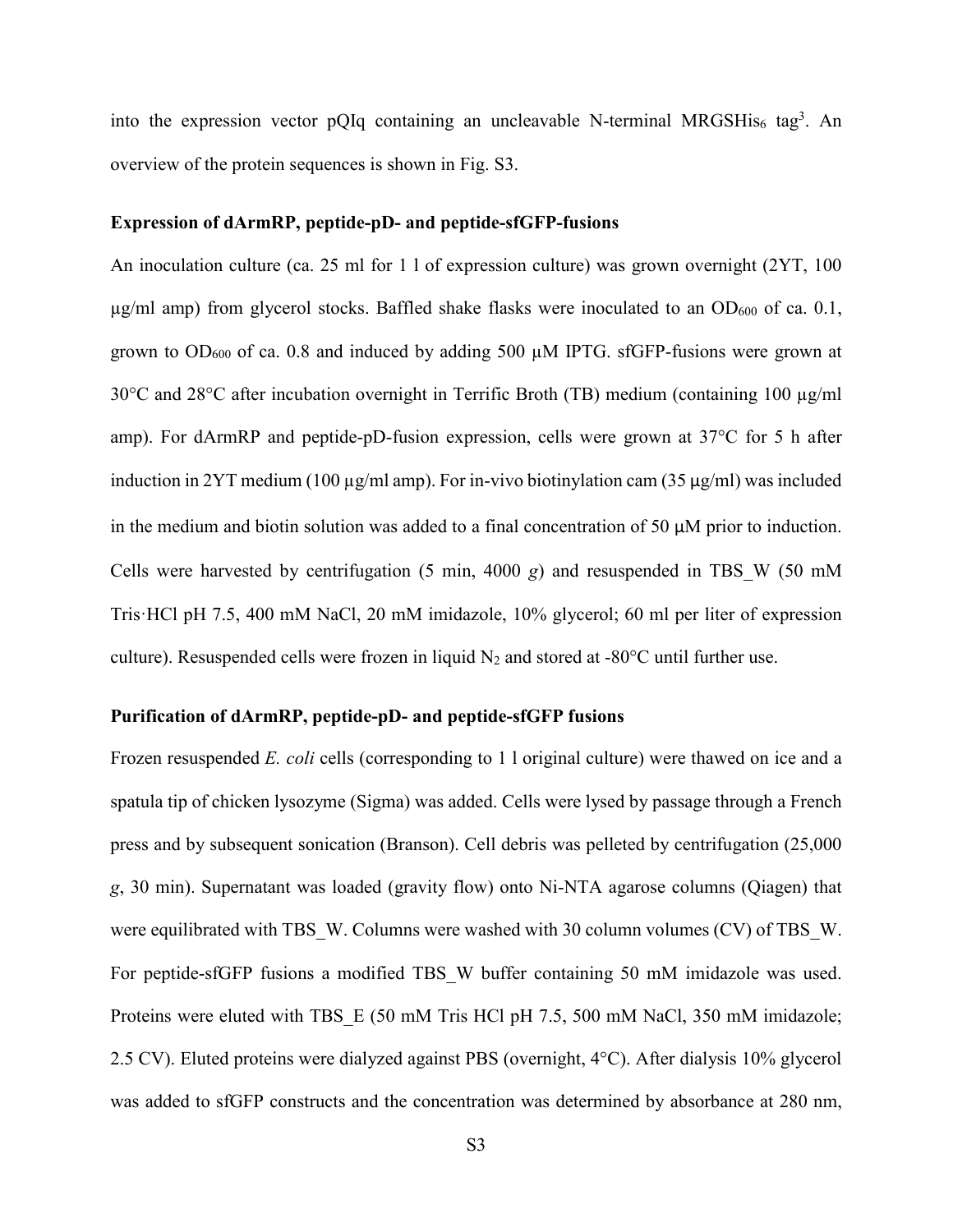into the expression vector pQIq containing an uncleavable N-terminal MRGSHis<sub>6</sub> tag<sup>3</sup>. An overview of the protein sequences is shown in Fig. S3.

#### **Expression of dArmRP, peptide-pD- and peptide-sfGFP-fusions**

An inoculation culture (ca. 25 ml for 1 l of expression culture) was grown overnight (2YT, 100  $\mu$ g/ml amp) from glycerol stocks. Baffled shake flasks were inoculated to an OD<sub>600</sub> of ca. 0.1, grown to  $OD_{600}$  of ca. 0.8 and induced by adding 500  $\mu$ M IPTG. sfGFP-fusions were grown at 30°C and 28°C after incubation overnight in Terrific Broth (TB) medium (containing 100 µg/ml amp). For dArmRP and peptide-pD-fusion expression, cells were grown at 37°C for 5 h after induction in 2YT medium (100  $\mu$ g/ml amp). For in-vivo biotinylation cam (35  $\mu$ g/ml) was included in the medium and biotin solution was added to a final concentration of 50 µM prior to induction. Cells were harvested by centrifugation (5 min, 4000 *g*) and resuspended in TBS\_W (50 mM Tris·HCl pH 7.5, 400 mM NaCl, 20 mM imidazole, 10% glycerol; 60 ml per liter of expression culture). Resuspended cells were frozen in liquid  $N_2$  and stored at -80 $^{\circ}$ C until further use.

#### **Purification of dArmRP, peptide-pD- and peptide-sfGFP fusions**

Frozen resuspended *E. coli* cells (corresponding to 1 l original culture) were thawed on ice and a spatula tip of chicken lysozyme (Sigma) was added. Cells were lysed by passage through a French press and by subsequent sonication (Branson). Cell debris was pelleted by centrifugation (25,000 *g*, 30 min). Supernatant was loaded (gravity flow) onto Ni-NTA agarose columns (Qiagen) that were equilibrated with TBS\_W. Columns were washed with 30 column volumes (CV) of TBS\_W. For peptide-sfGFP fusions a modified TBS\_W buffer containing 50 mM imidazole was used. Proteins were eluted with TBS E (50 mM Tris HCl pH 7.5, 500 mM NaCl, 350 mM imidazole; 2.5 CV). Eluted proteins were dialyzed against PBS (overnight, 4°C). After dialysis 10% glycerol was added to sfGFP constructs and the concentration was determined by absorbance at 280 nm,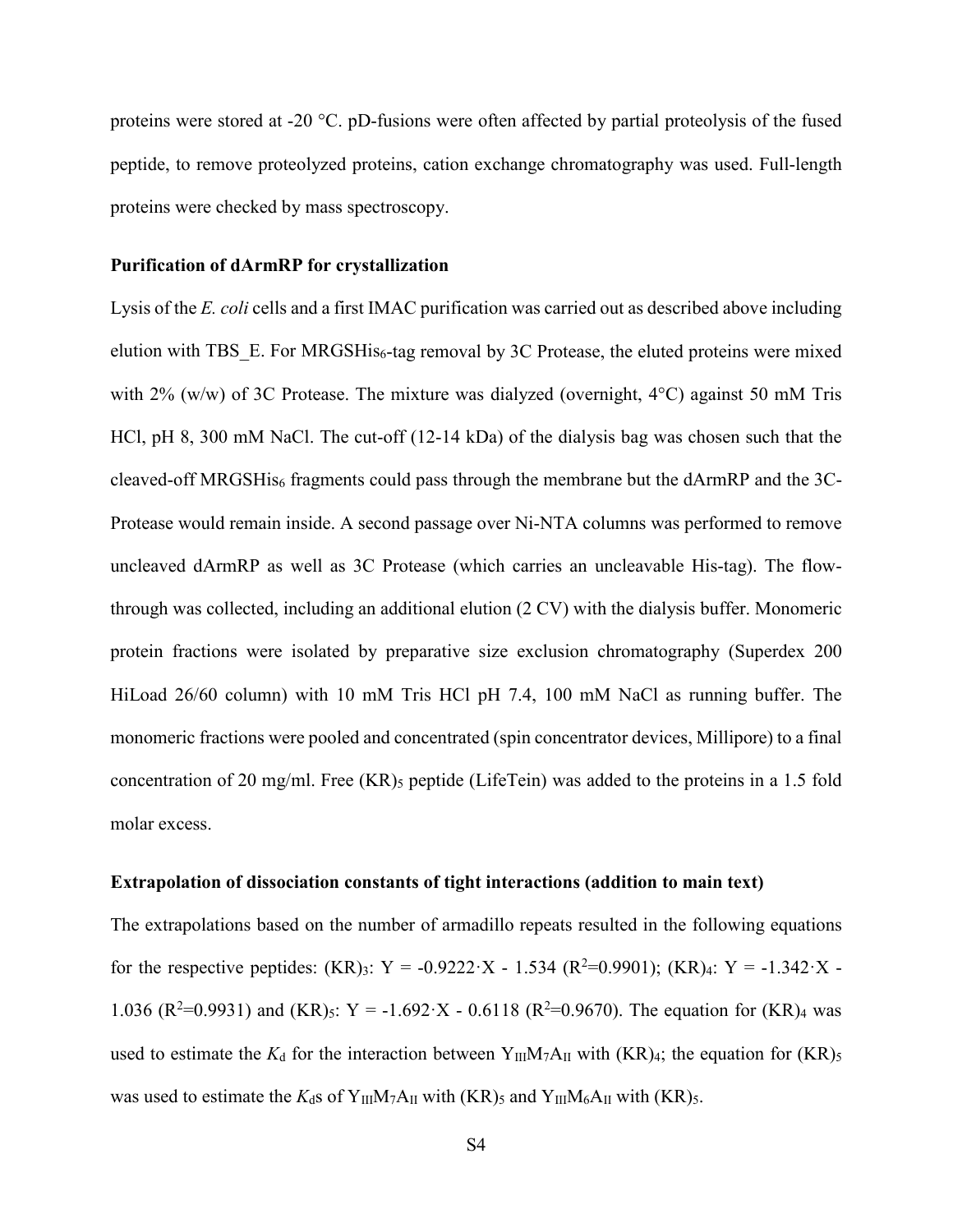proteins were stored at -20 °C. pD-fusions were often affected by partial proteolysis of the fused peptide, to remove proteolyzed proteins, cation exchange chromatography was used. Full-length proteins were checked by mass spectroscopy.

#### **Purification of dArmRP for crystallization**

Lysis of the *E. coli* cells and a first IMAC purification was carried out as described above including elution with TBS\_E. For MRGSHis<sub>6</sub>-tag removal by 3C Protease, the eluted proteins were mixed with 2% (w/w) of 3C Protease. The mixture was dialyzed (overnight,  $4^{\circ}$ C) against 50 mM Tris HCl, pH 8, 300 mM NaCl. The cut-off (12-14 kDa) of the dialysis bag was chosen such that the cleaved-off MRGSHis<sub>6</sub> fragments could pass through the membrane but the dArmRP and the 3C-Protease would remain inside. A second passage over Ni-NTA columns was performed to remove uncleaved dArmRP as well as 3C Protease (which carries an uncleavable His-tag). The flowthrough was collected, including an additional elution (2 CV) with the dialysis buffer. Monomeric protein fractions were isolated by preparative size exclusion chromatography (Superdex 200 HiLoad 26/60 column) with 10 mM Tris HCl pH 7.4, 100 mM NaCl as running buffer. The monomeric fractions were pooled and concentrated (spin concentrator devices, Millipore) to a final concentration of 20 mg/ml. Free  $(KR)$ <sub>5</sub> peptide (LifeTein) was added to the proteins in a 1.5 fold molar excess.

#### **Extrapolation of dissociation constants of tight interactions (addition to main text)**

The extrapolations based on the number of armadillo repeats resulted in the following equations for the respective peptides:  $(KR)_{3}$ : Y = -0.9222·X - 1.534  $(R^{2}=0.9901)$ ;  $(KR)_{4}$ : Y = -1.342·X -1.036 ( $R^2$ =0.9931) and (KR)<sub>5</sub>: Y = -1.692 · X - 0.6118 ( $R^2$ =0.9670). The equation for (KR)<sub>4</sub> was used to estimate the  $K_d$  for the interaction between Y<sub>III</sub>M<sub>7</sub>A<sub>II</sub> with  $(KR)_4$ ; the equation for  $(KR)_5$ was used to estimate the  $K_d$ s of Y<sub>III</sub>M<sub>7</sub>A<sub>II</sub> with (KR)<sub>5</sub> and Y<sub>III</sub>M<sub>6</sub>A<sub>II</sub> with (KR)<sub>5</sub>.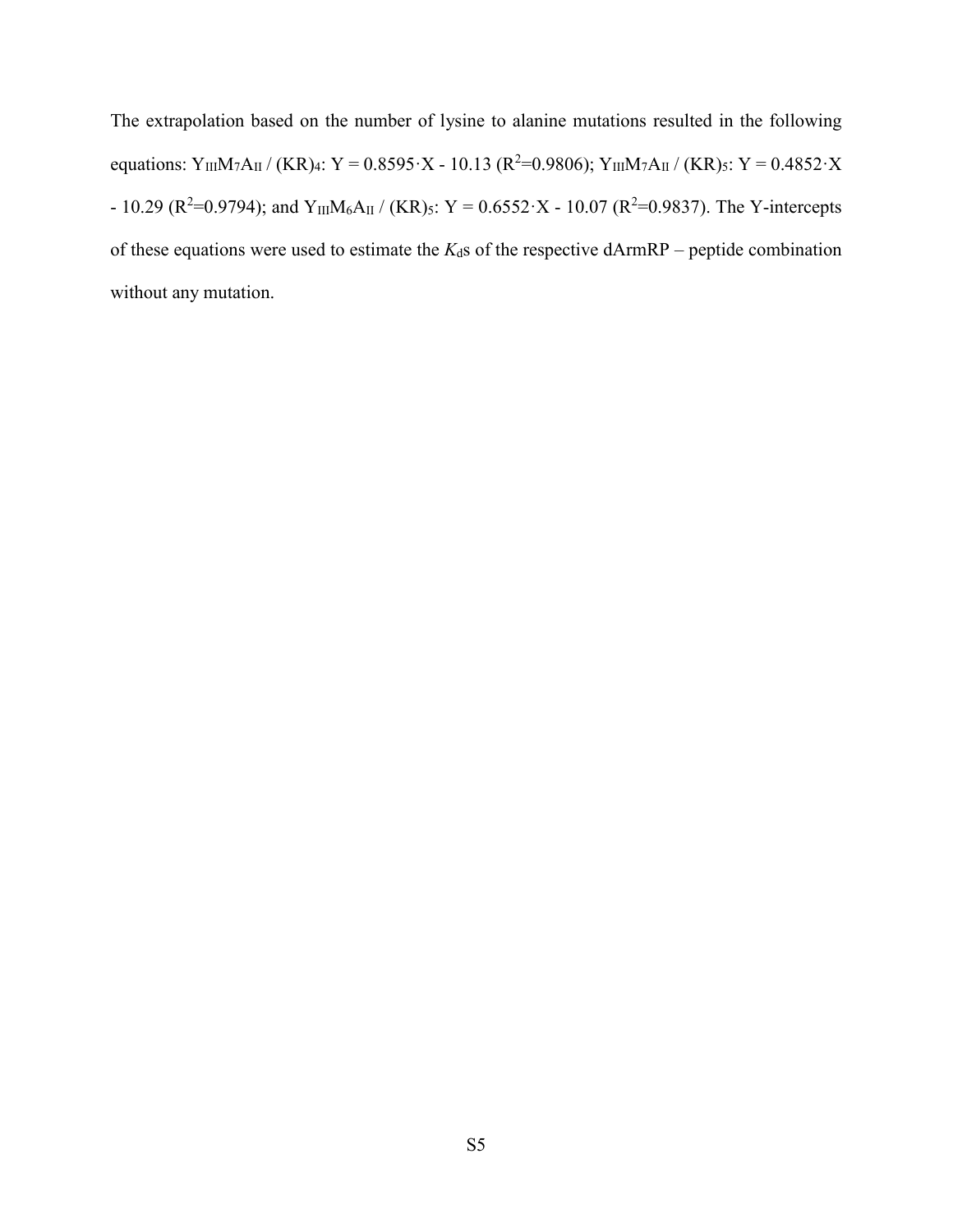The extrapolation based on the number of lysine to alanine mutations resulted in the following equations: Y<sub>III</sub>M<sub>7</sub>A<sub>II</sub> / (KR)<sub>4</sub>: Y = 0.8595 · X - 10.13 (R<sup>2</sup>=0.9806); Y<sub>III</sub>M<sub>7</sub>A<sub>II</sub> / (KR)<sub>5</sub>: Y = 0.4852 · X - 10.29 ( $R^2$ =0.9794); and Y<sub>III</sub>M<sub>6</sub>A<sub>II</sub> / (KR)<sub>5</sub>: Y = 0.6552 · X - 10.07 ( $R^2$ =0.9837). The Y-intercepts of these equations were used to estimate the  $K_d$ s of the respective dArmRP – peptide combination without any mutation.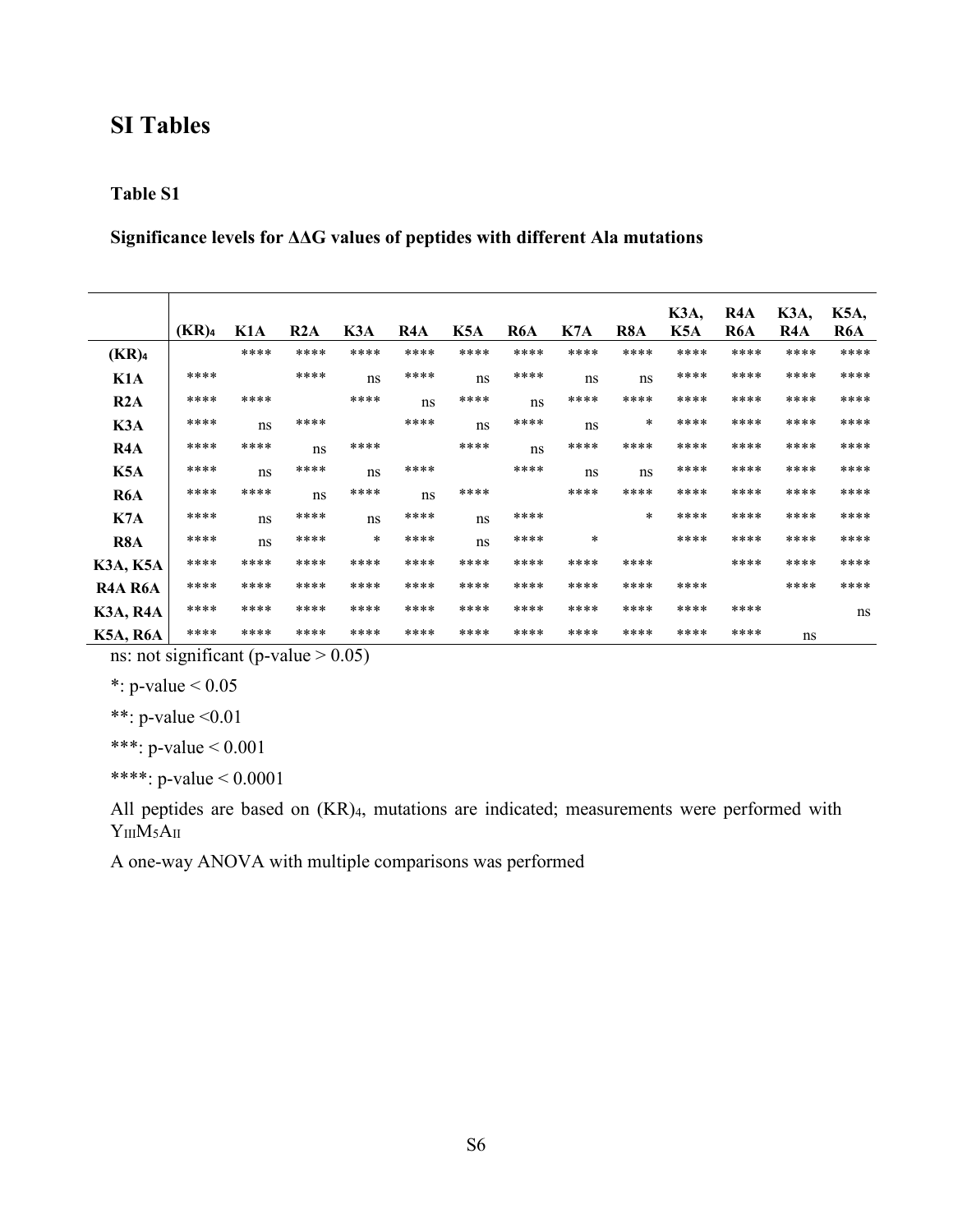# **SI Tables**

#### **Table S1**

**Significance levels for ΔΔG values of peptides with different Ala mutations**

|                                   | (KR) <sub>4</sub> | K <sub>1</sub> A | R2A  | K3A    | R4A  | K5A  | R6A  | K7A    | R8A    | <b>K3A,</b><br>K5A | R4A<br>R6A | K3A,<br>R4A | K5A,<br>R6A |
|-----------------------------------|-------------------|------------------|------|--------|------|------|------|--------|--------|--------------------|------------|-------------|-------------|
|                                   |                   |                  |      |        |      |      |      |        |        |                    |            |             |             |
| (KR) <sub>4</sub>                 |                   | ****             | **** | ****   | **** | **** | **** | ****   | ****   | ****               | ****       | ****        | ****        |
| K <sub>1</sub> A                  | ****              |                  | **** | ns     | **** | ns   | **** | ns     | ns     | ****               | ****       | ****        | ****        |
| R2A                               | ****              | ****             |      | ****   | ns   | **** | ns   | ****   | ****   | ****               | ****       | ****        | ****        |
| K3A                               | ****              | ns               | **** |        | **** | ns   | **** | ns     | $\ast$ | ****               | ****       | ****        | ****        |
| R4A                               | ****              | ****             | ns   | ****   |      | **** | ns   | ****   | ****   | ****               | ****       | ****        | ****        |
| K <sub>5</sub> A                  | ****              | ns               | **** | ns     | **** |      | **** | ns     | ns     | ****               | ****       | ****        | ****        |
| R6A                               | ****              | ****             | ns   | ****   | ns   | **** |      | ****   | ****   | ****               | ****       | ****        | ****        |
| K7A                               | ****              | ns               | **** | ns     | **** | ns   | **** |        | $\ast$ | ****               | ****       | ****        | ****        |
| R8A                               | ****              | ns               | **** | $\ast$ | **** | ns   | **** | $\ast$ |        | ****               | ****       | ****        | ****        |
| K3A, K5A                          | ****              | ****             | **** | ****   | **** | **** | **** | ****   | ****   |                    | ****       | ****        | ****        |
| R <sub>4</sub> A R <sub>6</sub> A | ****              | ****             | **** | ****   | **** | **** | **** | ****   | ****   | ****               |            | ****        | ****        |
| K3A, R4A                          | ****              | ****             | **** | ****   | **** | **** | **** | ****   | ****   | ****               | ****       |             | ns          |
| K5A, R6A                          | ****              | ****             | **** | ****   | **** | **** | **** | ****   | ****   | ****               | ****       | ns          |             |

ns: not significant (p-value  $> 0.05$ )

\*: p-value  $< 0.05$ 

\*\*: p-value <0.01

\*\*\*: p-value < 0.001

\*\*\*\*: p-value < 0.0001

All peptides are based on (KR)4, mutations are indicated; measurements were performed with  $Y_{III}M_5A_{II}$ 

A one-way ANOVA with multiple comparisons was performed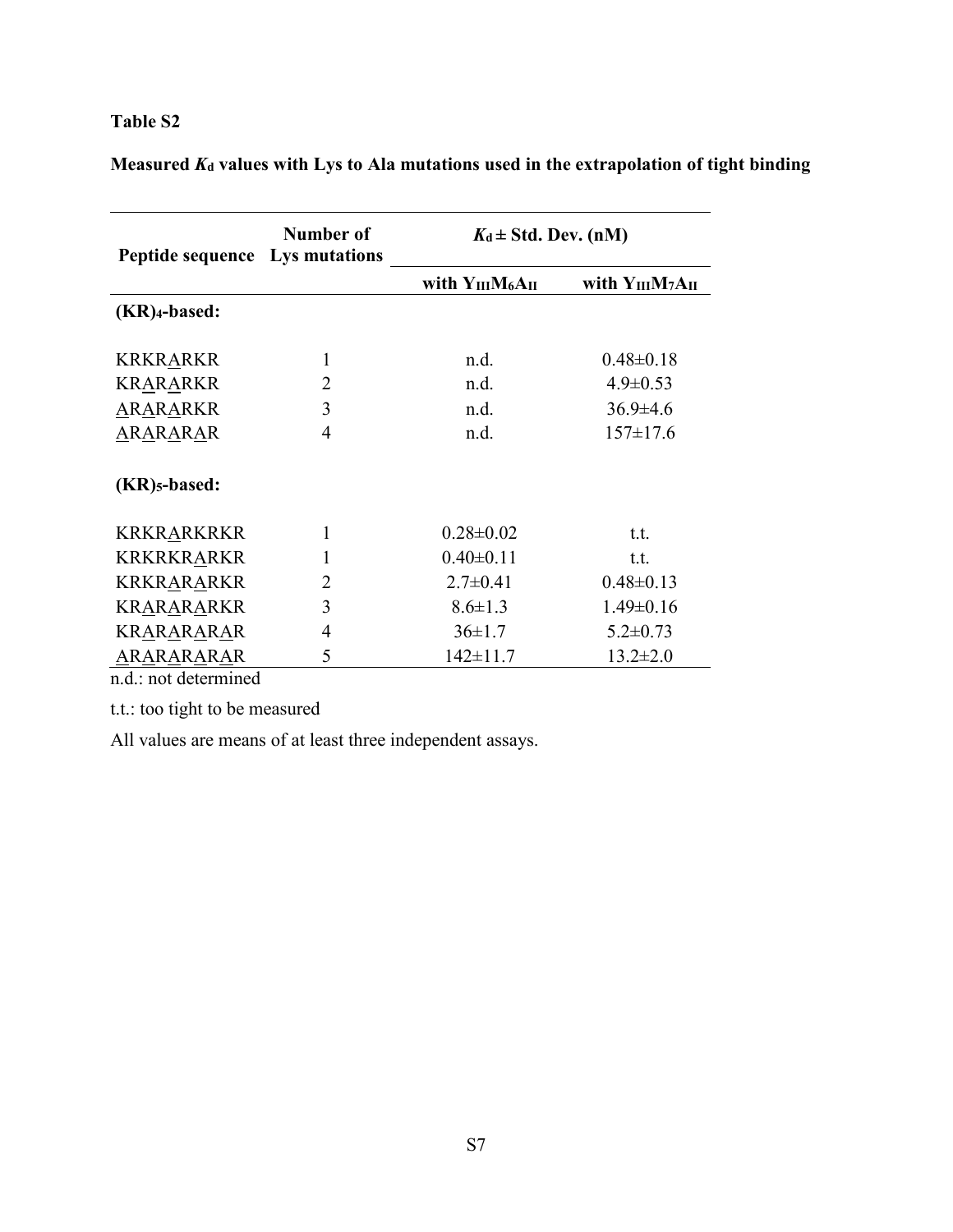| <b>Peptide sequence</b> Lys mutations | Number of      | $K_d \pm Std$ . Dev. (nM) |                         |  |  |  |  |  |  |  |
|---------------------------------------|----------------|---------------------------|-------------------------|--|--|--|--|--|--|--|
|                                       |                | with $Y_{III}M_6A_{II}$   | with $Y_{III}M_7A_{II}$ |  |  |  |  |  |  |  |
| $(KR)$ 4-based:                       |                |                           |                         |  |  |  |  |  |  |  |
| <b>KRKRARKR</b>                       | 1              | n.d.                      | $0.48 \pm 0.18$         |  |  |  |  |  |  |  |
| <b>KRARARKR</b>                       | 2              | n.d.                      | $4.9 \pm 0.53$          |  |  |  |  |  |  |  |
| ARARARKR                              | 3              | n.d.                      | $36.9 \pm 4.6$          |  |  |  |  |  |  |  |
| ARARARAR                              | 4              | n.d.                      | $157 \pm 17.6$          |  |  |  |  |  |  |  |
| $(KR)_{5}$ -based:                    |                |                           |                         |  |  |  |  |  |  |  |
| KRKRARKRKR                            | 1              | $0.28 \pm 0.02$           | t.t.                    |  |  |  |  |  |  |  |
| <b>KRKRKRARKR</b>                     | 1              | $0.40 \pm 0.11$           | t.t.                    |  |  |  |  |  |  |  |
| KRKRARARKR                            | $\overline{2}$ | $2.7 \pm 0.41$            | $0.48 \pm 0.13$         |  |  |  |  |  |  |  |
| KRARARARKR                            | 3              | $8.6 \pm 1.3$             | $1.49 \pm 0.16$         |  |  |  |  |  |  |  |
| KRARARARAR                            | $\overline{4}$ | $36 \pm 1.7$              | $5.2 \pm 0.73$          |  |  |  |  |  |  |  |
| ARARARARAR                            | 5              | $142 \pm 11.7$            | $13.2 \pm 2.0$          |  |  |  |  |  |  |  |

**Measured** *K***<sup>d</sup> values with Lys to Ala mutations used in the extrapolation of tight binding**

n.d.: not determined

t.t.: too tight to be measured

All values are means of at least three independent assays.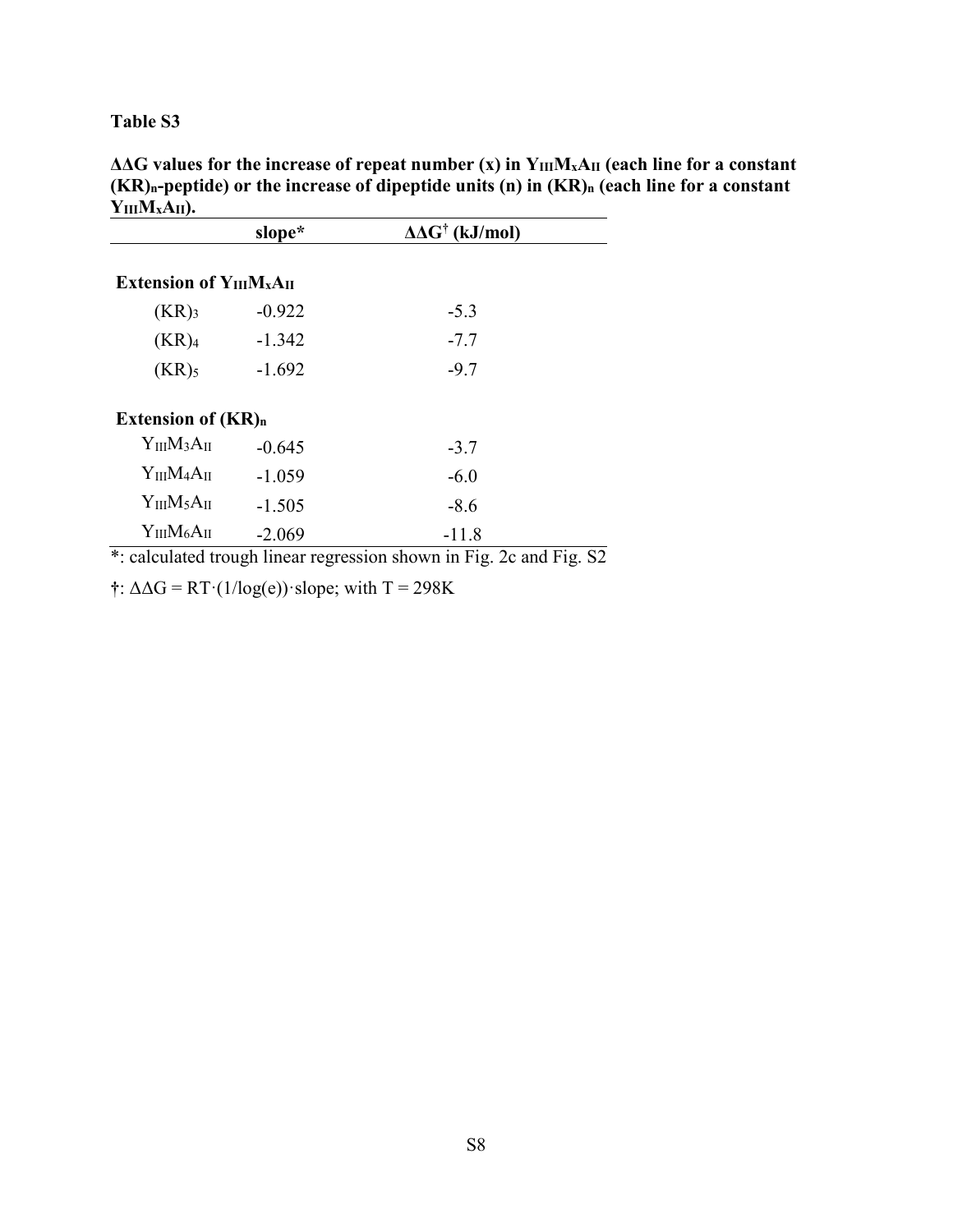**ΔΔG values for the increase of repeat number (x) in YIIIMxAII (each line for a constant (KR)n-peptide) or the increase of dipeptide units (n) in (KR)n (each line for a constant YIIIMxAII).** 

|                                   | slope*   | $\Delta \Delta G^{\dagger}$ (kJ/mol)                                |  |
|-----------------------------------|----------|---------------------------------------------------------------------|--|
| Extension of $Y_{III}M_{x}A_{II}$ |          |                                                                     |  |
| (KR) <sub>3</sub>                 | $-0.922$ | $-5.3$                                                              |  |
| (KR) <sub>4</sub>                 | $-1.342$ | $-7.7$                                                              |  |
| $(KR)$ <sub>5</sub>               | $-1.692$ | $-9.7$                                                              |  |
| Extension of $(KR)_n$             |          |                                                                     |  |
| ${\rm Y_{III}M_3A_{II}}$          | $-0.645$ | $-3.7$                                                              |  |
| $Y_{III}M_4A_{II}$                | $-1.059$ | $-6.0$                                                              |  |
| $Y_{III}M_5A_{II}$                | $-1.505$ | $-8.6$                                                              |  |
| $Y_{III}M_6A_{II}$                | $-2.069$ | $-11.8$                                                             |  |
|                                   |          | *: calculated trough linear regression shown in Fig. 2c and Fig. S2 |  |

 $\uparrow$ :  $\Delta \Delta G = RT \cdot (1/\log(e)) \cdot \text{slope}$ ; with T = 298K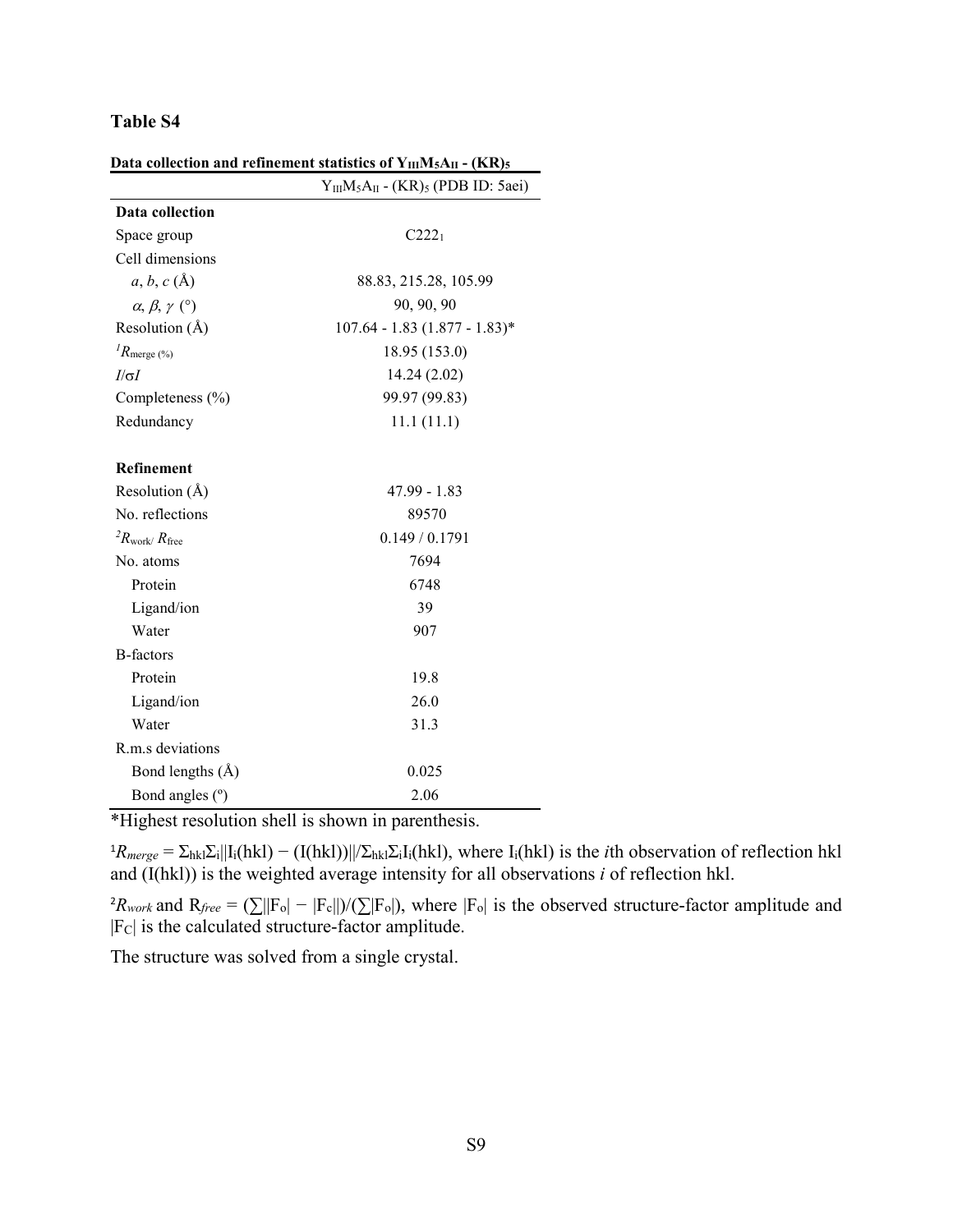|                                   | $Y_{III}M_5A_{II}$ - (KR) <sub>5</sub> (PDB ID: 5aei) |
|-----------------------------------|-------------------------------------------------------|
| Data collection                   |                                                       |
| Space group                       | $C222_1$                                              |
| Cell dimensions                   |                                                       |
| $a, b, c(\AA)$                    | 88.83, 215.28, 105.99                                 |
| $\alpha, \beta, \gamma$ (°)       | 90, 90, 90                                            |
| Resolution $(A)$                  | $107.64 - 1.83$ $(1.877 - 1.83)^*$                    |
| $R_{\text{merge (%)}}$            | 18.95 (153.0)                                         |
| $I/\sigma I$                      | 14.24 (2.02)                                          |
| Completeness $(\% )$              | 99.97 (99.83)                                         |
| Redundancy                        | 11.1(11.1)                                            |
| <b>Refinement</b>                 |                                                       |
| Resolution $(\AA)$                | 47.99 - 1.83                                          |
| No. reflections                   | 89570                                                 |
| ${}^{2}R_{\rm work}/R_{\rm free}$ | 0.149/0.1791                                          |
| No. atoms                         | 7694                                                  |
| Protein                           | 6748                                                  |
| Ligand/ion                        | 39                                                    |
| Water                             | 907                                                   |
| <b>B</b> -factors                 |                                                       |
| Protein                           | 19.8                                                  |
| Ligand/ion                        | 26.0                                                  |
| Water                             | 31.3                                                  |
| R.m.s deviations                  |                                                       |
| Bond lengths (Å)                  | 0.025                                                 |
| Bond angles (°)                   | 2.06                                                  |

Data collection and refinement statistics of  $V_{\text{tr}}M_{\text{r}}\Delta_{\text{tr}}$  **-**  $(\mathbf{KP})$ 

\*Highest resolution shell is shown in parenthesis.

 ${}^{1}R_{merge} = \sum_{hkl} \sum_{i} ||I_{i}(hkl) - (I(hkl))||\sum_{hkl} \sum_{i} I_{i}(hkl)$ , where  $I_{i}(hkl)$  is the *i*th observation of reflection hkl and (I(hkl)) is the weighted average intensity for all observations *i* of reflection hkl.

 ${}^{2}R_{work}$  and  $R_{free} = (\sum ||F_o| - |F_c||)/(\sum |F_o|)$ , where  $|F_o|$  is the observed structure-factor amplitude and |FC| is the calculated structure-factor amplitude.

The structure was solved from a single crystal.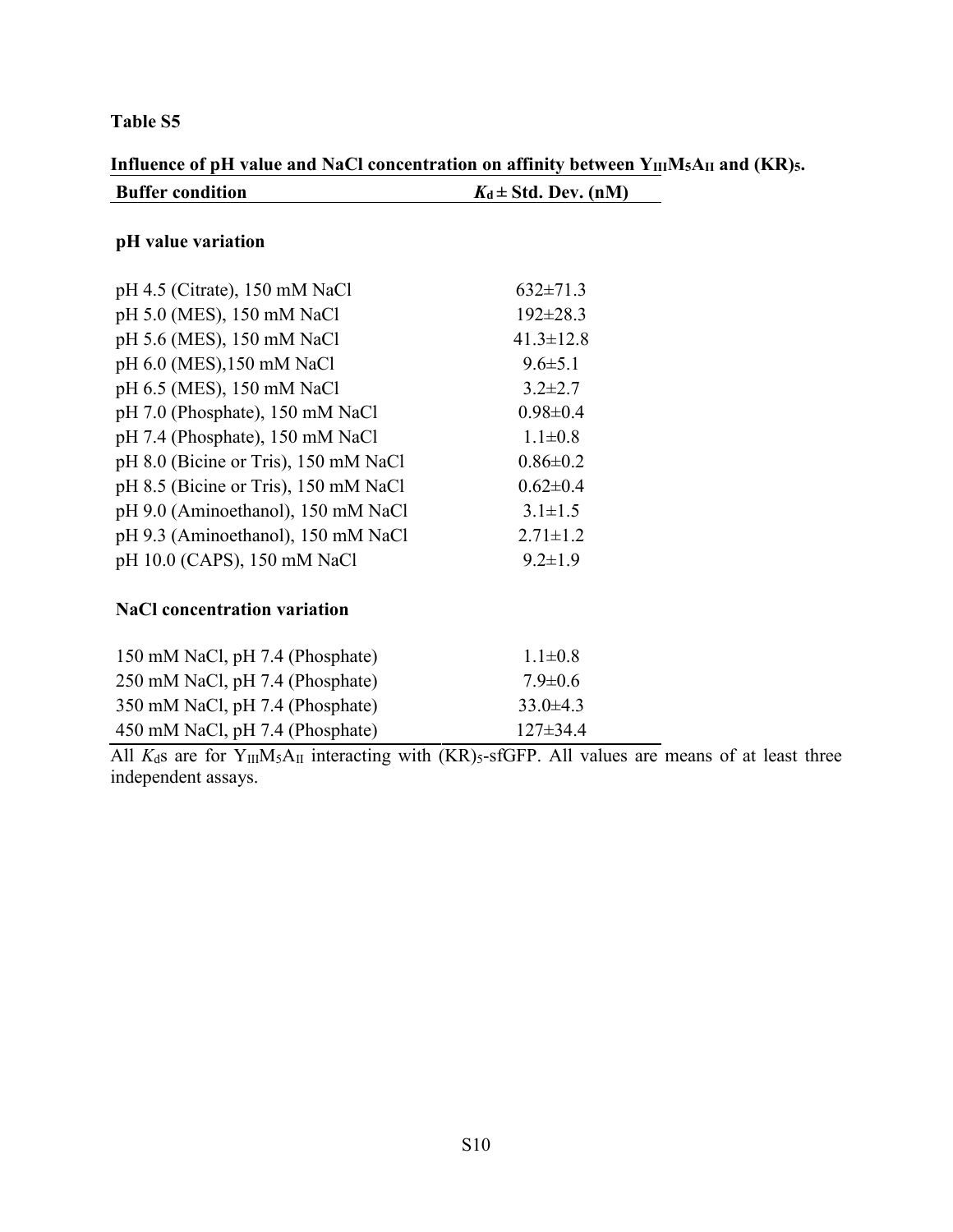|                         | Influence of pH value and NaCl concentration on affinity between Y <sub>III</sub> M <sub>5</sub> A <sub>II</sub> and (KR) <sub>5</sub> . |
|-------------------------|------------------------------------------------------------------------------------------------------------------------------------------|
| <b>Buffer condition</b> | $K_d \pm Std$ . Dev. (nM)                                                                                                                |

## **pH value variation**

| pH 4.5 (Citrate), 150 mM NaCl        | $632\pm71.3$    |
|--------------------------------------|-----------------|
| pH 5.0 (MES), 150 mM NaCl            | $192 \pm 28.3$  |
| pH 5.6 (MES), 150 mM NaCl            | $41.3 \pm 12.8$ |
| pH 6.0 (MES), 150 mM NaCl            | $9.6 \pm 5.1$   |
| pH 6.5 (MES), 150 mM NaCl            | $3.2 \pm 2.7$   |
| pH 7.0 (Phosphate), 150 mM NaCl      | $0.98 \pm 0.4$  |
| pH 7.4 (Phosphate), 150 mM NaCl      | $1.1 \pm 0.8$   |
| pH 8.0 (Bicine or Tris), 150 mM NaCl | $0.86 \pm 0.2$  |
| pH 8.5 (Bicine or Tris), 150 mM NaCl | $0.62 \pm 0.4$  |
| pH 9.0 (Aminoethanol), 150 mM NaCl   | $3.1 \pm 1.5$   |
| pH 9.3 (Aminoethanol), 150 mM NaCl   | $2.71 \pm 1.2$  |
| pH 10.0 (CAPS), 150 mM NaCl          | $9.2 \pm 1.9$   |
|                                      |                 |

# **NaCl concentration variation**

| 150 mM NaCl, pH 7.4 (Phosphate) | $11 \pm 08$    |
|---------------------------------|----------------|
| 250 mM NaCl, pH 7.4 (Phosphate) | $79 \pm 06$    |
| 350 mM NaCl, pH 7.4 (Phosphate) | $33.0\pm4.3$   |
| 450 mM NaCl, pH 7.4 (Phosphate) | $127 \pm 34.4$ |

All  $K_d$ s are for Y<sub>III</sub>M<sub>5</sub>A<sub>II</sub> interacting with  $(KR)$ <sub>5</sub>-sfGFP. All values are means of at least three independent assays.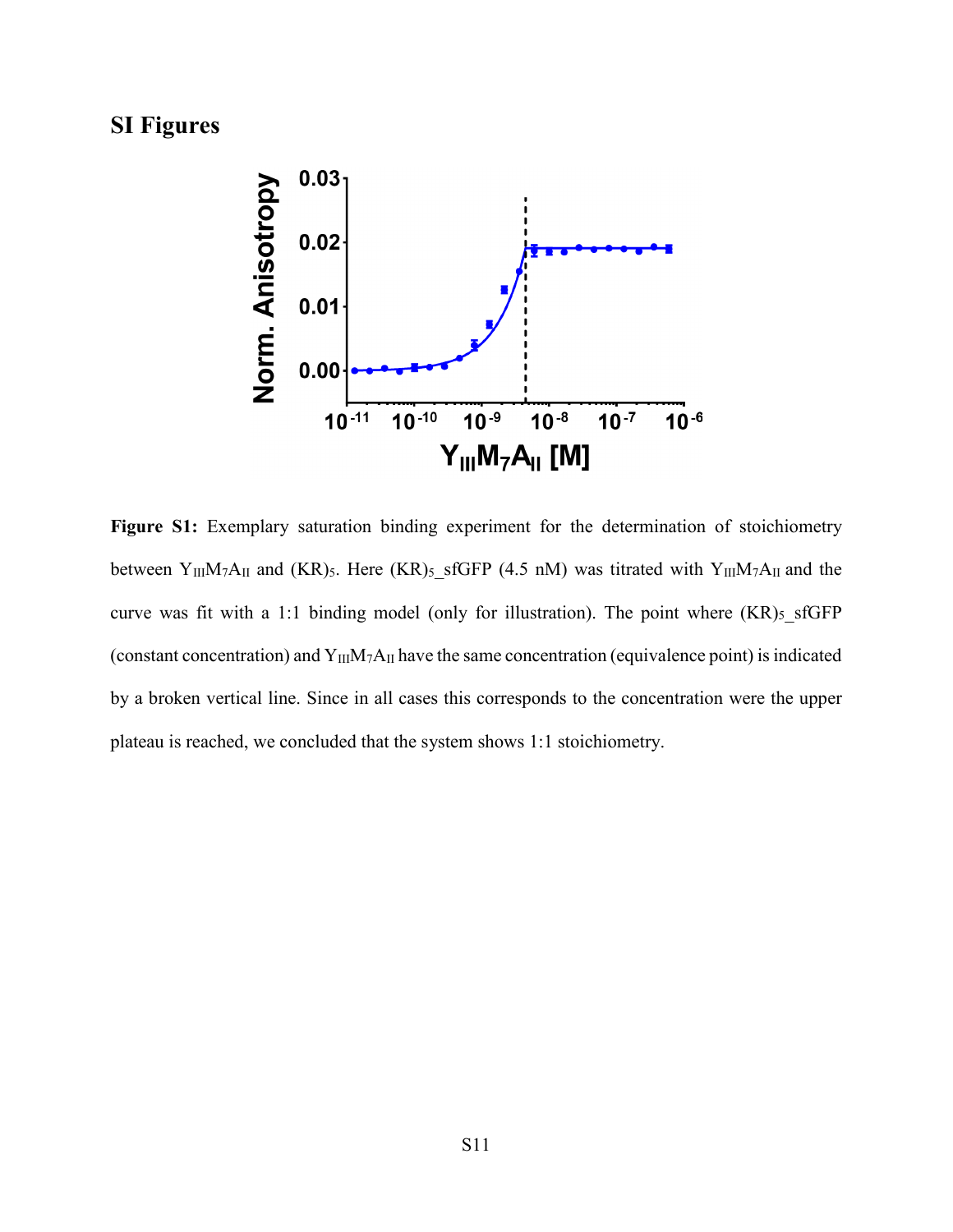# **SI Figures**



**Figure S1:** Exemplary saturation binding experiment for the determination of stoichiometry between Y<sub>III</sub>M<sub>7</sub>A<sub>II</sub> and (KR)<sub>5</sub>. Here (KR)<sub>5</sub>\_sfGFP (4.5 nM) was titrated with Y<sub>III</sub>M<sub>7</sub>A<sub>II</sub> and the curve was fit with a 1:1 binding model (only for illustration). The point where  $(KR)_{5}$  sfGFP (constant concentration) and  $Y_{III}M_7A_{II}$  have the same concentration (equivalence point) is indicated by a broken vertical line. Since in all cases this corresponds to the concentration were the upper plateau is reached, we concluded that the system shows 1:1 stoichiometry.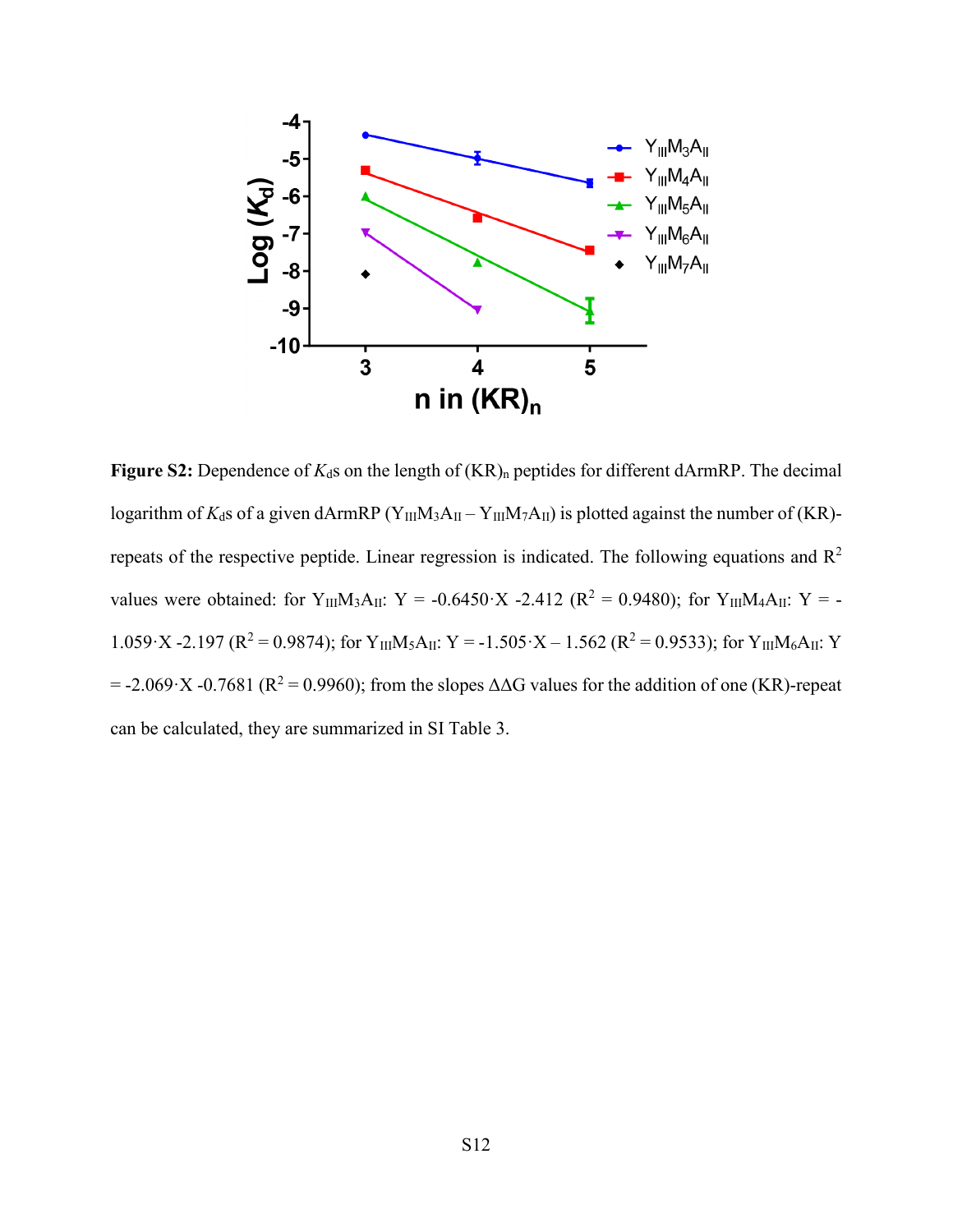

**Figure** S2: Dependence of  $K_d$ s on the length of  $(KR)$ <sub>n</sub> peptides for different dArmRP. The decimal logarithm of  $K_d$ s of a given dArmRP (Y<sub>III</sub>M<sub>3</sub>A<sub>II</sub> – Y<sub>III</sub>M<sub>7</sub>A<sub>II</sub>) is plotted against the number of (KR)repeats of the respective peptide. Linear regression is indicated. The following equations and R<sup>2</sup> values were obtained: for  $Y_{III}M_3A_{II}$ : Y = -0.6450·X -2.412 ( $R^2 = 0.9480$ ); for  $Y_{III}M_4A_{II}$ : Y = -1.059·X -2.197 ( $R^2 = 0.9874$ ); for Y<sub>III</sub>M<sub>5</sub>A<sub>II</sub>: Y = -1.505·X – 1.562 ( $R^2 = 0.9533$ ); for Y<sub>III</sub>M<sub>6</sub>A<sub>II</sub>: Y  $= -2.069 \times 10.7681$  (R<sup>2</sup> = 0.9960); from the slopes  $\Delta\Delta G$  values for the addition of one (KR)-repeat can be calculated, they are summarized in SI Table 3.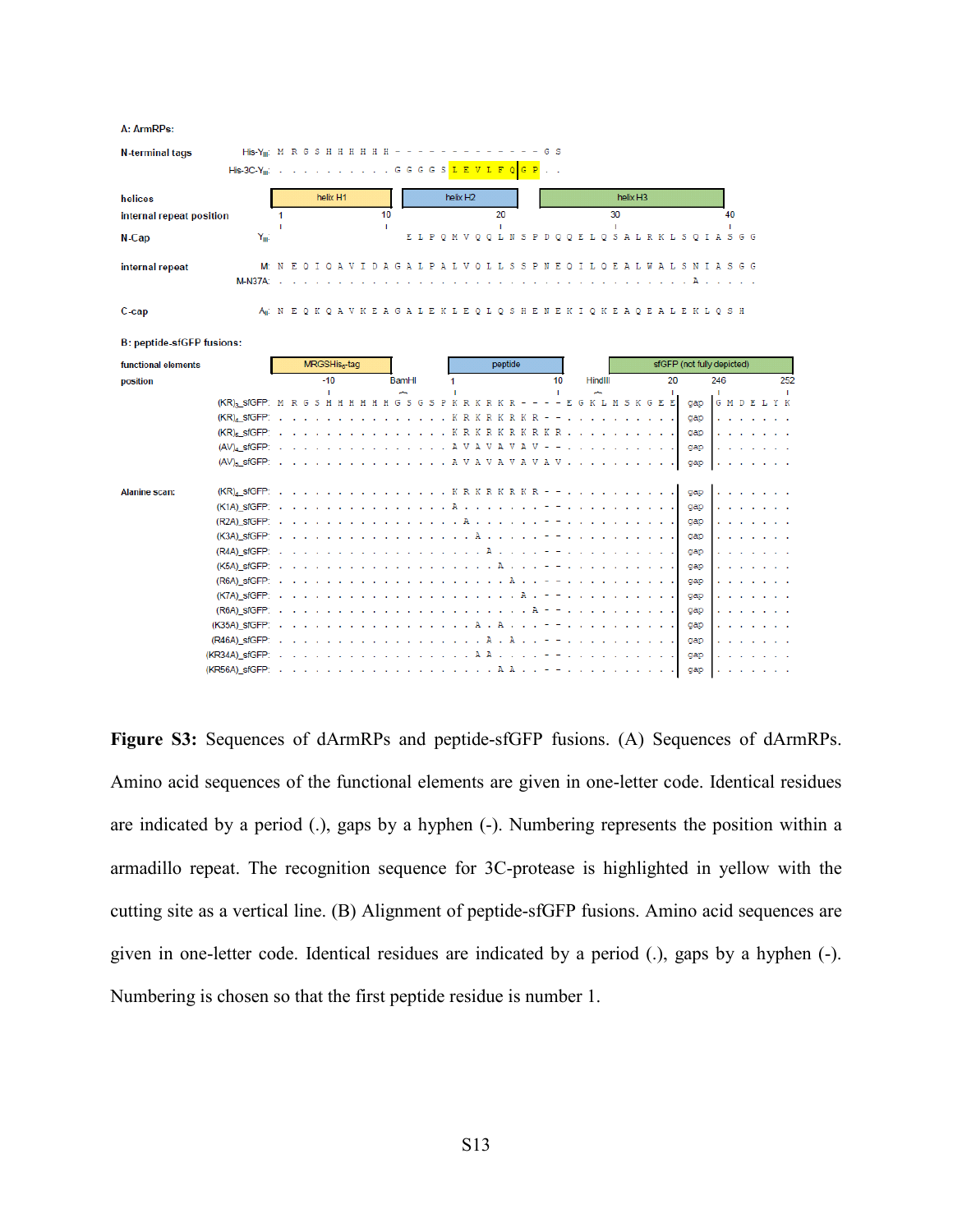| A: ArmRPs:                                                           |                    |                           |   |  |       |          |                                 |                      |                    |        |              |        |   |                      |         |         |   |                       |        |                |    |   |                    |    |                      |   |            |    |                                                                                      |                            |        |        |  |     |
|----------------------------------------------------------------------|--------------------|---------------------------|---|--|-------|----------|---------------------------------|----------------------|--------------------|--------|--------------|--------|---|----------------------|---------|---------|---|-----------------------|--------|----------------|----|---|--------------------|----|----------------------|---|------------|----|--------------------------------------------------------------------------------------|----------------------------|--------|--------|--|-----|
| His-Y <sub>m</sub> : M R G S H H H H H H -<br><b>N-terminal tags</b> |                    |                           |   |  |       |          |                                 |                      |                    |        |              |        |   |                      |         |         |   |                       |        | G <sub>S</sub> |    |   |                    |    |                      |   |            |    |                                                                                      |                            |        |        |  |     |
| His-3C-Y <sub>ii</sub> : G G G G S <mark>L E V L F Q</mark>          |                    |                           |   |  |       |          |                                 |                      |                    |        |              |        |   |                      |         |         |   | G                     |        |                |    |   |                    |    |                      |   |            |    |                                                                                      |                            |        |        |  |     |
|                                                                      |                    |                           |   |  |       |          |                                 |                      |                    |        |              |        |   |                      |         |         |   |                       |        |                |    |   |                    |    |                      |   |            |    |                                                                                      |                            |        |        |  |     |
| helices                                                              |                    |                           |   |  |       | helix H1 |                                 |                      |                    |        |              |        |   | helix H <sub>2</sub> |         |         |   |                       |        |                |    |   |                    |    | helix H <sub>3</sub> |   |            |    |                                                                                      |                            |        |        |  |     |
| internal repeat position                                             |                    | -1                        |   |  |       |          |                                 |                      | 10<br>$\mathbf{I}$ |        |              |        |   |                      |         | 20<br>п |   |                       |        |                |    |   |                    | 30 |                      |   |            |    |                                                                                      |                            | 40     |        |  |     |
| $N$ -Cap                                                             | $Y_{\text{III}}$ : |                           |   |  |       |          |                                 |                      |                    |        |              | ELPQMV |   |                      | $\circ$ | $\circ$ |   | LNSPD                 |        | $\circ$        |    |   | <b>QELQSALRKLS</b> |    |                      |   |            |    | $\circ$                                                                              | IASGG                      |        |        |  |     |
| internal repeat                                                      | M:                 | N                         | E |  |       |          | O I O A V I D A G A L P A L V   |                      |                    |        |              |        |   |                      |         |         |   | OLLSSPNEO             |        |                |    |   |                    |    |                      |   |            |    | I L O E A L W A L S N I A S G G                                                      |                            |        |        |  |     |
| <b>M-N37A:</b>                                                       |                    |                           |   |  |       |          |                                 |                      |                    |        |              |        |   |                      |         |         |   |                       |        |                |    |   |                    |    |                      |   |            |    |                                                                                      |                            |        |        |  |     |
| C-cap                                                                |                    |                           |   |  |       |          |                                 |                      |                    |        |              |        |   |                      |         |         |   |                       |        |                |    |   |                    |    |                      |   |            |    | A: N E O K O A V K E A G A L E K L E O L O S H E N E K I O K E A O E A L E K L O S H |                            |        |        |  |     |
| <b>B: peptide-sfGFP fusions:</b>                                     |                    |                           |   |  |       |          |                                 |                      |                    |        |              |        |   |                      |         |         |   |                       |        |                |    |   |                    |    |                      |   |            |    |                                                                                      |                            |        |        |  |     |
| functional elements                                                  |                    | MRGSHis <sub>6</sub> -tag |   |  |       |          |                                 |                      |                    |        |              |        |   |                      |         | peptide |   |                       |        |                |    |   |                    |    |                      |   |            |    |                                                                                      | sfGFP (not fully depicted) |        |        |  |     |
| position                                                             |                    |                           |   |  | $-10$ |          |                                 |                      |                    |        | <b>BamHI</b> |        | 1 |                      |         |         |   |                       |        | 10             |    |   | <b>HindIII</b>     |    |                      |   |            | 20 |                                                                                      | 246                        |        |        |  | 252 |
| (KR), SfGFP: M R G S H H H H H H G S G S P                           |                    |                           |   |  |       |          |                                 |                      |                    |        |              |        | к | RKRKR                |         |         |   |                       |        | $\sim$         | F. | G | K L                | М  | s                    | ĸ | <b>GEE</b> |    | qap                                                                                  | GMDEL                      |        |        |  | Y K |
| $(KR)$ , sfGFP: .                                                    |                    |                           |   |  |       |          |                                 |                      |                    |        |              |        |   | KRKRK                |         |         | R | ĸ                     | R      |                |    |   |                    |    |                      |   |            |    | gap                                                                                  |                            |        |        |  |     |
| $(KR)$ <sub>5</sub> sfGFP: .                                         |                    |                           |   |  |       |          |                                 |                      |                    |        |              |        |   | KRKRKR               |         |         |   | К                     | R<br>К |                |    |   |                    |    |                      |   |            |    | gap                                                                                  |                            |        |        |  |     |
| $(AV)4$ sfGFP: .                                                     |                    |                           |   |  |       |          |                                 |                      |                    |        |              |        |   | AVAVA                |         |         | v | А                     |        |                |    |   |                    |    |                      |   |            |    | gap                                                                                  |                            |        |        |  |     |
| $(AV)_5$ sfGFP: .                                                    |                    |                           |   |  |       |          | . A V A V A V A V A V           |                      |                    |        |              |        |   |                      |         |         |   |                       |        |                |    |   |                    |    |                      |   |            |    | gap                                                                                  |                            |        |        |  |     |
| <b>Alanine scan:</b><br>$(KR)_{4}$ sfGFP:                            |                    |                           |   |  |       |          |                                 |                      |                    |        |              |        |   |                      |         |         |   | $K$ R K R K R K R - - |        |                |    |   |                    |    |                      |   |            |    | gap                                                                                  |                            |        |        |  |     |
| $(K1A)$ sfGFP: .                                                     |                    |                           |   |  |       |          | $\mathcal{L}^{\mathcal{A}}$ and |                      |                    |        |              |        | А |                      |         |         |   |                       |        |                |    |   |                    |    |                      |   |            |    | gap                                                                                  |                            |        |        |  |     |
| $(R2A)$ sfGFP: $\cdot$                                               |                    |                           |   |  |       |          |                                 |                      |                    |        |              |        |   |                      |         |         |   |                       |        |                |    |   |                    |    |                      |   |            |    | gap                                                                                  |                            |        |        |  |     |
| $(K3A)$ sfGFP: $\cdot$                                               |                    |                           |   |  |       |          |                                 |                      |                    |        |              |        |   |                      |         |         |   |                       |        |                |    |   |                    |    |                      |   |            |    | gap                                                                                  |                            |        |        |  |     |
| (R4A) sfGFP:                                                         |                    |                           |   |  |       |          |                                 |                      |                    |        |              |        |   |                      |         |         |   |                       |        |                |    |   |                    |    |                      |   |            |    | gap                                                                                  |                            |        |        |  |     |
| $(K5A)$ sfGFP: .                                                     |                    |                           |   |  |       |          |                                 |                      |                    |        |              |        |   |                      |         | А       |   |                       |        |                |    |   |                    |    |                      |   |            |    | qap                                                                                  |                            |        |        |  |     |
| $(R6A)$ sfGFP: $\cdot$                                               |                    |                           |   |  |       |          |                                 |                      |                    |        | i.           |        |   |                      |         |         |   |                       |        |                |    |   |                    |    |                      |   |            |    | gap                                                                                  |                            |        |        |  |     |
| $(K7A)$ sfGFP: $\cdot$                                               |                    |                           |   |  |       |          |                                 | n.                   |                    |        | $\sim$       |        |   |                      |         |         |   | А                     |        |                |    |   |                    |    |                      |   |            |    | gap                                                                                  |                            |        |        |  |     |
| $(R6A)$ sfGFP: $\cdot$                                               |                    |                           |   |  |       |          |                                 | n.<br>$\sim$         | $\sim$             | $\sim$ | $\sim$       |        |   |                      |         |         |   |                       | A      |                |    |   |                    |    |                      |   |            |    | gap                                                                                  |                            |        |        |  |     |
| $(K35A)$ sfGFP: $\cdot$                                              |                    |                           |   |  |       |          |                                 | <b>Contract</b>      | $\sim$             |        | $\sim$       |        |   |                      | А       | A       |   |                       |        |                |    |   |                    |    |                      |   |            |    | gap                                                                                  |                            |        |        |  |     |
| (R46A) sfGFP:                                                        |                    |                           |   |  |       |          |                                 | <b>Service State</b> |                    | o a    | $\sim$       |        |   |                      |         | A       |   | $\mathcal{A}$         |        |                |    |   |                    |    |                      |   |            |    | gap                                                                                  |                            |        |        |  |     |
| $(KR34A)$ sfGFP: $\cdot$                                             |                    |                           |   |  |       |          |                                 | <b>Contract</b>      | n.                 |        | n.           | $\sim$ |   |                      | AA      |         |   | and a state           |        |                |    |   |                    |    |                      |   | $\sim$     |    | gap                                                                                  |                            |        |        |  |     |
|                                                                      |                    |                           |   |  |       |          |                                 |                      |                    |        |              |        |   |                      |         |         |   |                       |        |                |    |   |                    |    |                      |   |            |    | gap                                                                                  |                            | $\sim$ | $\sim$ |  |     |

**Figure S3:** Sequences of dArmRPs and peptide-sfGFP fusions. (A) Sequences of dArmRPs. Amino acid sequences of the functional elements are given in one-letter code. Identical residues are indicated by a period (.), gaps by a hyphen (-). Numbering represents the position within a armadillo repeat. The recognition sequence for 3C-protease is highlighted in yellow with the cutting site as a vertical line. (B) Alignment of peptide-sfGFP fusions. Amino acid sequences are given in one-letter code. Identical residues are indicated by a period (.), gaps by a hyphen (-). Numbering is chosen so that the first peptide residue is number 1.